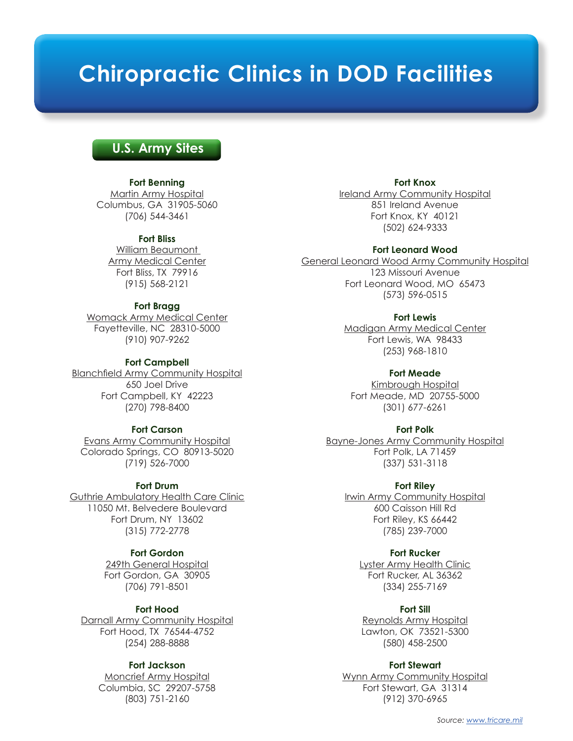# **Chiropractic Clinics in DOD Facilities**

## **U.S. Army Sites**

#### **Fort Benning**

Martin Army Hospital Columbus, GA 31905-5060 (706) 544-3461

#### **Fort Bliss**

William Beaumont Army Medical Center Fort Bliss, TX 79916 (915) 568-2121

#### **Fort Bragg**

Womack Army Medical Center Fayetteville, NC 28310-5000 (910) 907-9262

#### **Fort Campbell**

Blanchfield Army Community Hospital 650 Joel Drive Fort Campbell, KY 42223 (270) 798-8400

#### **Fort Carson**

Evans Army Community Hospital Colorado Springs, CO 80913-5020 (719) 526-7000

#### **Fort Drum**

Guthrie Ambulatory Health Care Clinic 11050 Mt. Belvedere Boulevard Fort Drum, NY 13602 (315) 772-2778

## **Fort Gordon**

249th General Hospital Fort Gordon, GA 30905 (706) 791-8501

#### **Fort Hood**

Darnall Army Community Hospital Fort Hood, TX 76544-4752 (254) 288-8888

#### **Fort Jackson**

Moncrief Army Hospital Columbia, SC 29207-5758 (803) 751-2160

#### **Fort Knox**

Ireland Army Community Hospital 851 Ireland Avenue Fort Knox, KY 40121 (502) 624-9333

#### **Fort Leonard Wood**

General Leonard Wood Army Community Hospital 123 Missouri Avenue Fort Leonard Wood, MO 65473 (573) 596-0515

#### **Fort Lewis**

Madigan Army Medical Center Fort Lewis, WA 98433 (253) 968-1810

#### **Fort Meade**

Kimbrough Hospital Fort Meade, MD 20755-5000 (301) 677-6261

#### **Fort Polk**

Bayne-Jones Army Community Hospital Fort Polk, LA 71459 (337) 531-3118

#### **Fort Riley**

Irwin Army Community Hospital 600 Caisson Hill Rd Fort Riley, KS 66442 (785) 239-7000

## **Fort Rucker**

Lyster Army Health Clinic Fort Rucker, AL 36362 (334) 255-7169

#### **Fort Sill**

Reynolds Army Hospital Lawton, OK 73521-5300 (580) 458-2500

#### **Fort Stewart**

Wynn Army Community Hospital Fort Stewart, GA 31314 (912) 370-6965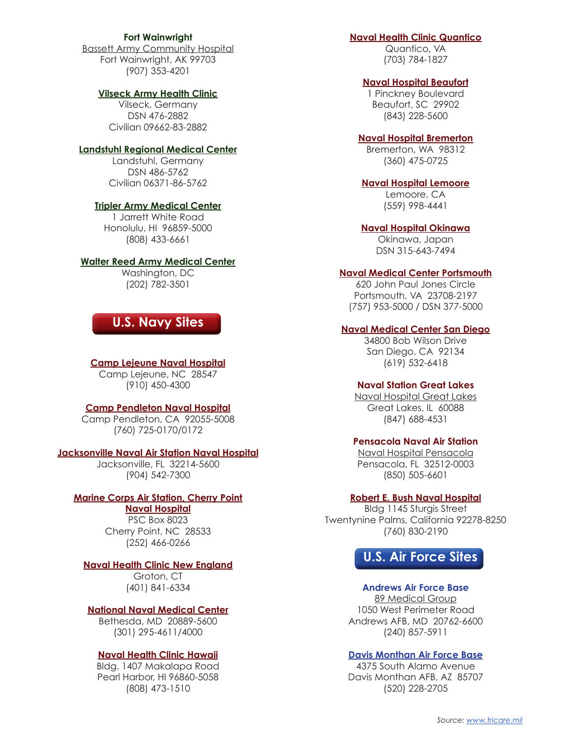#### **Fort Wainwright**

Bassett Army Community Hospital Fort Wainwright, AK 99703 (907) 353-4201

#### **Vilseck Army Health Clinic**

Vilseck, Germany DSN 476-2882 Civilian 09662-83-2882

#### **Landstuhl Regional Medical Center**

Landstuhl, Germany DSN 486-5762 Civilian 06371-86-5762

#### **Tripler Army Medical Center**

1 Jarrett White Road Honolulu, HI 96859-5000 (808) 433-6661

#### **Walter Reed Army Medical Center**

Washington, DC (202) 782-3501

## **U.S. Navy Sites**

#### **Camp Lejeune Naval Hospital**

Camp Lejeune, NC 28547 (910) 450-4300

#### **Camp Pendleton Naval Hospital**

Camp Pendleton, CA 92055-5008 (760) 725-0170/0172

#### **Jacksonville Naval Air Station Naval Hospital**

Jacksonville, FL 32214-5600 (904) 542-7300

## **Marine Corps Air Station, Cherry Point**

**Naval Hospital** PSC Box 8023 Cherry Point, NC 28533 (252) 466-0266

#### **Naval Health Clinic New England**

Groton, CT (401) 841-6334

#### **National Naval Medical Center**

Bethesda, MD 20889-5600 (301) 295-4611/4000

#### **Naval Health Clinic Hawaii**

Bldg. 1407 Makalapa Road Pearl Harbor, HI 96860-5058 (808) 473-1510

## **Naval Health Clinic Quantico**

Quantico, VA (703) 784-1827

## **Naval Hospital Beaufort**

1 Pinckney Boulevard Beaufort, SC 29902 (843) 228-5600

## **Naval Hospital Bremerton**

Bremerton, WA 98312 (360) 475-0725

## **Naval Hospital Lemoore**

Lemoore, CA (559) 998-4441

#### **Naval Hospital Okinawa**

Okinawa, Japan DSN 315-643-7494

#### **Naval Medical Center Portsmouth**

620 John Paul Jones Circle Portsmouth, VA 23708-2197 (757) 953-5000 / DSN 377-5000

#### **Naval Medical Center San Diego**

34800 Bob Wilson Drive San Diego, CA 92134 (619) 532-6418

#### **Naval Station Great Lakes**

Naval Hospital Great Lakes Great Lakes, IL 60088 (847) 688-4531

#### **Pensacola Naval Air Station**

Naval Hospital Pensacola Pensacola, FL 32512-0003 (850) 505-6601

#### **Robert E. Bush Naval Hospital**

Bldg 1145 Sturgis Street Twentynine Palms, California 92278-8250 (760) 830-2190



## **Andrews Air Force Base**

89 Medical Group 1050 West Perimeter Road Andrews AFB, MD 20762-6600 (240) 857-5911

#### **Davis Monthan Air Force Base**

4375 South Alamo Avenue Davis Monthan AFB, AZ 85707 (520) 228-2705